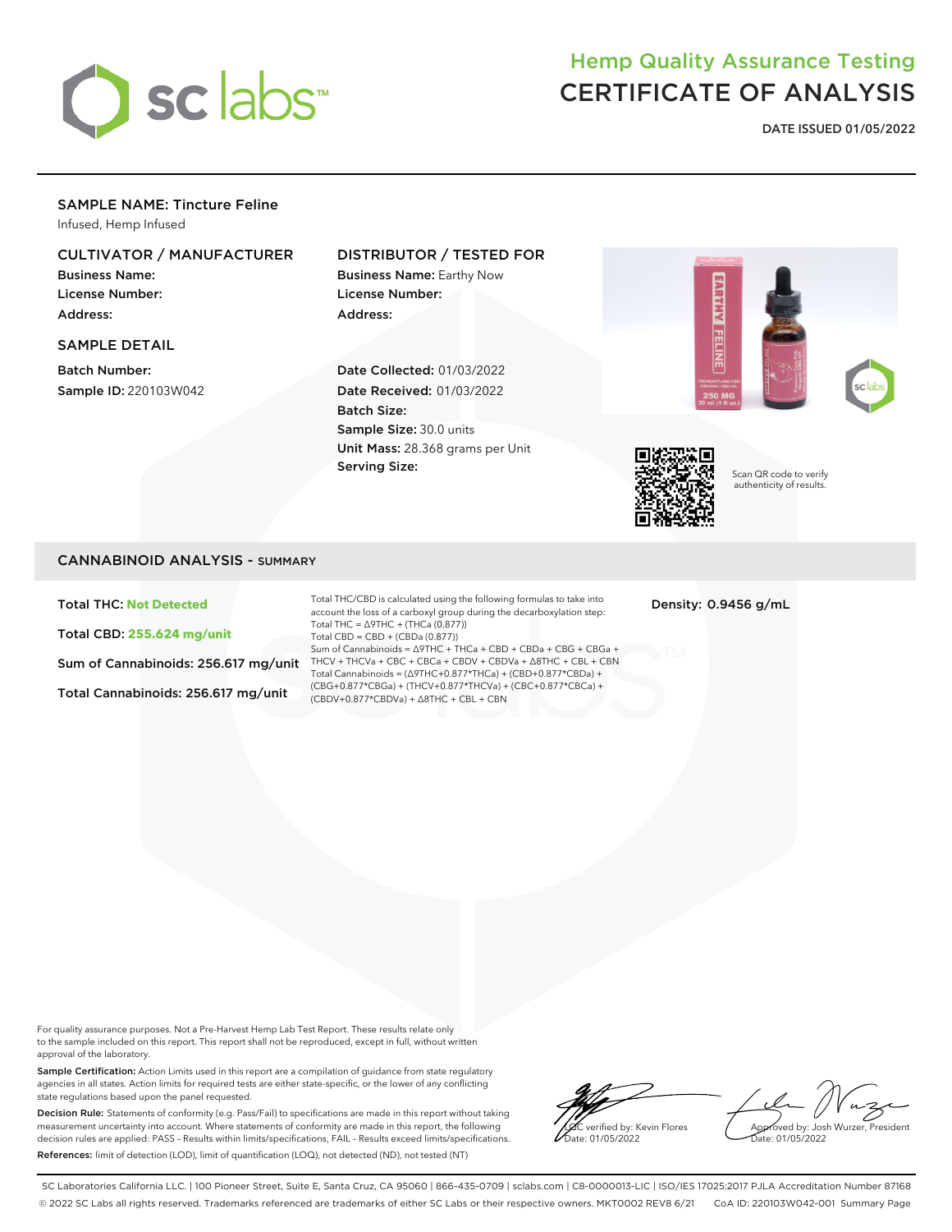

# Hemp Quality Assurance Testing CERTIFICATE OF ANALYSIS

**DATE ISSUED 01/05/2022**

## SAMPLE NAME: Tincture Feline

Infused, Hemp Infused

## CULTIVATOR / MANUFACTURER

Business Name: License Number: Address:

#### SAMPLE DETAIL

Batch Number: Sample ID: 220103W042

### DISTRIBUTOR / TESTED FOR

Business Name: Earthy Now License Number: Address:

Date Collected: 01/03/2022 Date Received: 01/03/2022 Batch Size: Sample Size: 30.0 units Unit Mass: 28.368 grams per Unit Serving Size:





Scan QR code to verify authenticity of results.

#### CANNABINOID ANALYSIS - SUMMARY

Total THC: **Not Detected**

Total CBD: **255.624 mg/unit**

Sum of Cannabinoids: 256.617 mg/unit

Total Cannabinoids: 256.617 mg/unit

Total THC/CBD is calculated using the following formulas to take into account the loss of a carboxyl group during the decarboxylation step: Total THC = ∆9THC + (THCa (0.877)) Total CBD = CBD + (CBDa (0.877)) Sum of Cannabinoids = ∆9THC + THCa + CBD + CBDa + CBG + CBGa + THCV + THCVa + CBC + CBCa + CBDV + CBDVa + ∆8THC + CBL + CBN Total Cannabinoids = (∆9THC+0.877\*THCa) + (CBD+0.877\*CBDa) + (CBG+0.877\*CBGa) + (THCV+0.877\*THCVa) + (CBC+0.877\*CBCa) + (CBDV+0.877\*CBDVa) + ∆8THC + CBL + CBN

Density: 0.9456 g/mL

For quality assurance purposes. Not a Pre-Harvest Hemp Lab Test Report. These results relate only to the sample included on this report. This report shall not be reproduced, except in full, without written approval of the laboratory.

Sample Certification: Action Limits used in this report are a compilation of guidance from state regulatory agencies in all states. Action limits for required tests are either state-specific, or the lower of any conflicting state regulations based upon the panel requested.

Decision Rule: Statements of conformity (e.g. Pass/Fail) to specifications are made in this report without taking measurement uncertainty into account. Where statements of conformity are made in this report, the following decision rules are applied: PASS – Results within limits/specifications, FAIL – Results exceed limits/specifications. References: limit of detection (LOD), limit of quantification (LOQ), not detected (ND), not tested (NT)

verified by: Kevin Flores ate: 01/05/2022

Approved by: Josh Wurzer, President Date: 01/05/2022

SC Laboratories California LLC. | 100 Pioneer Street, Suite E, Santa Cruz, CA 95060 | 866-435-0709 | sclabs.com | C8-0000013-LIC | ISO/IES 17025:2017 PJLA Accreditation Number 87168 © 2022 SC Labs all rights reserved. Trademarks referenced are trademarks of either SC Labs or their respective owners. MKT0002 REV8 6/21 CoA ID: 220103W042-001 Summary Page